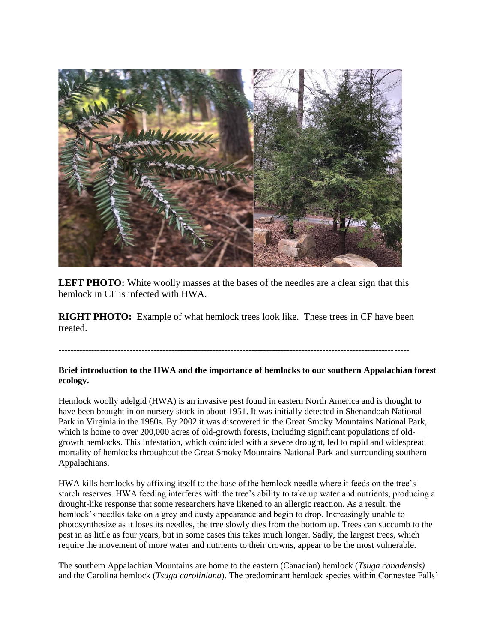

**LEFT PHOTO:** White woolly masses at the bases of the needles are a clear sign that this hemlock in CF is infected with HWA.

**RIGHT PHOTO:** Example of what hemlock trees look like. These trees in CF have been treated.

**----------------------------------------------------------------------------------------------------------------------**

## **Brief introduction to the HWA and the importance of hemlocks to our southern Appalachian forest ecology.**

Hemlock woolly adelgid (HWA) is an invasive pest found in eastern North America and is thought to have been brought in on nursery stock in about 1951. It was initially detected in Shenandoah National Park in Virginia in the 1980s. By 2002 it was discovered in the Great Smoky Mountains National Park, which is home to over 200,000 acres of old-growth forests, including significant populations of oldgrowth hemlocks. This infestation, which coincided with a severe drought, led to rapid and widespread mortality of hemlocks throughout the Great Smoky Mountains National Park and surrounding southern Appalachians.

HWA kills hemlocks by affixing itself to the base of the hemlock needle where it feeds on the tree's starch reserves. HWA feeding interferes with the tree's ability to take up water and nutrients, producing a drought-like response that some researchers have likened to an allergic reaction. As a result, the hemlock's needles take on a grey and dusty appearance and begin to drop. Increasingly unable to photosynthesize as it loses its needles, the tree slowly dies from the bottom up. Trees can succumb to the pest in as little as four years, but in some cases this takes much longer. Sadly, the largest trees, which require the movement of more water and nutrients to their crowns, appear to be the most vulnerable.

The southern Appalachian Mountains are home to the eastern (Canadian) hemlock (*Tsuga canadensis)* and the Carolina hemlock (*Tsuga caroliniana*). The predominant hemlock species within Connestee Falls'